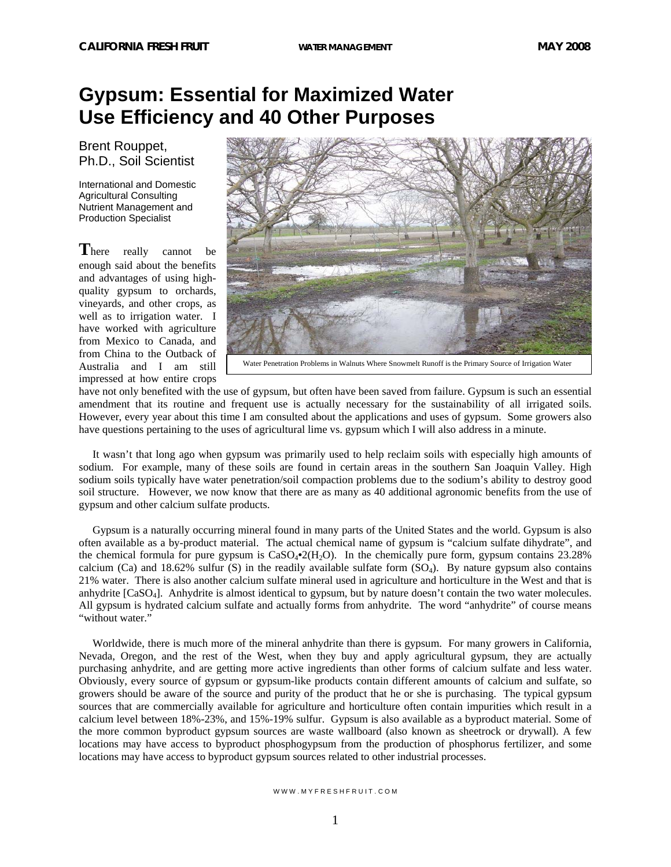## **Gypsum: Essential for Maximized Water Use Efficiency and 40 Other Purposes**

Brent Rouppet, Ph.D., Soil Scientist

International and Domestic Agricultural Consulting Nutrient Management and Production Specialist

There really cannot be enough said about the benefits and advantages of using highquality gypsum to orchards, vineyards, and other crops, as well as to irrigation water. I have worked with agriculture from Mexico to Canada, and from China to the Outback of Australia and I am still impressed at how entire crops



Water Penetration Problems in Walnuts Where Snowmelt Runoff is the Primary Source of Irrigation Water

have not only benefited with the use of gypsum, but often have been saved from failure. Gypsum is such an essential amendment that its routine and frequent use is actually necessary for the sustainability of all irrigated soils. However, every year about this time I am consulted about the applications and uses of gypsum. Some growers also have questions pertaining to the uses of agricultural lime vs. gypsum which I will also address in a minute.

 It wasn't that long ago when gypsum was primarily used to help reclaim soils with especially high amounts of sodium. For example, many of these soils are found in certain areas in the southern San Joaquin Valley. High sodium soils typically have water penetration/soil compaction problems due to the sodium's ability to destroy good soil structure. However, we now know that there are as many as 40 additional agronomic benefits from the use of gypsum and other calcium sulfate products.

 Gypsum is a naturally occurring mineral found in many parts of the United States and the world. Gypsum is also often available as a by-product material. The actual chemical name of gypsum is "calcium sulfate dihydrate", and the chemical formula for pure gypsum is  $CaSO<sub>4</sub>2(H<sub>2</sub>O)$ . In the chemically pure form, gypsum contains 23.28% calcium (Ca) and 18.62% sulfur (S) in the readily available sulfate form  $(SO<sub>4</sub>)$ . By nature gypsum also contains 21% water. There is also another calcium sulfate mineral used in agriculture and horticulture in the West and that is anhydrite [CaSO4]. Anhydrite is almost identical to gypsum, but by nature doesn't contain the two water molecules. All gypsum is hydrated calcium sulfate and actually forms from anhydrite. The word "anhydrite" of course means "without water."

 Worldwide, there is much more of the mineral anhydrite than there is gypsum. For many growers in California, Nevada, Oregon, and the rest of the West, when they buy and apply agricultural gypsum, they are actually purchasing anhydrite, and are getting more active ingredients than other forms of calcium sulfate and less water. Obviously, every source of gypsum or gypsum-like products contain different amounts of calcium and sulfate, so growers should be aware of the source and purity of the product that he or she is purchasing. The typical gypsum sources that are commercially available for agriculture and horticulture often contain impurities which result in a calcium level between 18%-23%, and 15%-19% sulfur. Gypsum is also available as a byproduct material. Some of the more common byproduct gypsum sources are waste wallboard (also known as sheetrock or drywall). A few locations may have access to byproduct phosphogypsum from the production of phosphorus fertilizer, and some locations may have access to byproduct gypsum sources related to other industrial processes.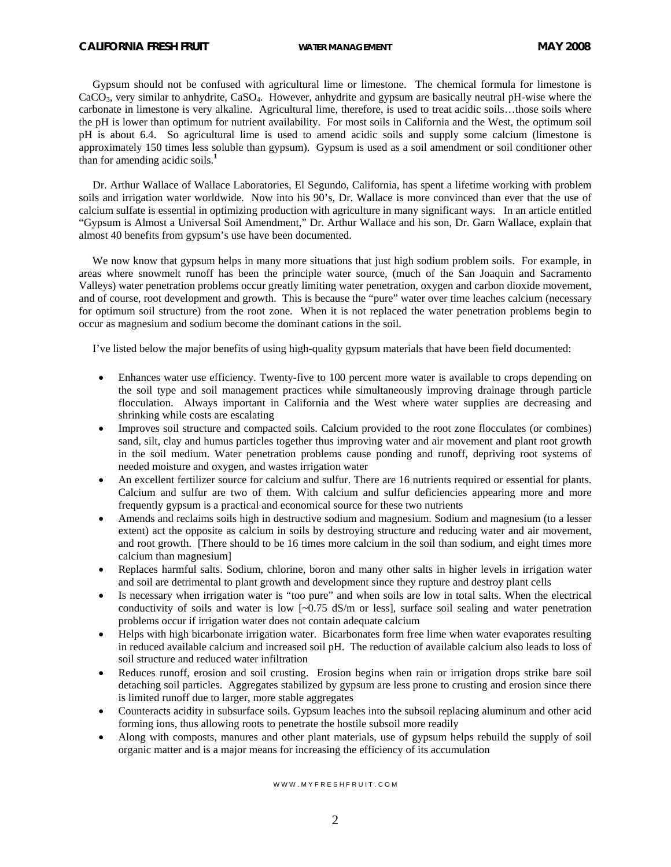Gypsum should not be confused with agricultural lime or limestone. The chemical formula for limestone is CaCO3, very similar to anhydrite, CaSO4. However, anhydrite and gypsum are basically neutral pH-wise where the carbonate in limestone is very alkaline. Agricultural lime, therefore, is used to treat acidic soils…those soils where the pH is lower than optimum for nutrient availability. For most soils in California and the West, the optimum soil pH is about 6.4. So agricultural lime is used to amend acidic soils and supply some calcium (limestone is approximately 150 times less soluble than gypsum). Gypsum is used as a soil amendment or soil conditioner other than for amending acidic soils.**<sup>1</sup>**

 Dr. Arthur Wallace of Wallace Laboratories, El Segundo, California, has spent a lifetime working with problem soils and irrigation water worldwide. Now into his 90's, Dr. Wallace is more convinced than ever that the use of calcium sulfate is essential in optimizing production with agriculture in many significant ways. In an article entitled "Gypsum is Almost a Universal Soil Amendment," Dr. Arthur Wallace and his son, Dr. Garn Wallace, explain that almost 40 benefits from gypsum's use have been documented.

We now know that gypsum helps in many more situations that just high sodium problem soils. For example, in areas where snowmelt runoff has been the principle water source, (much of the San Joaquin and Sacramento Valleys) water penetration problems occur greatly limiting water penetration, oxygen and carbon dioxide movement, and of course, root development and growth. This is because the "pure" water over time leaches calcium (necessary for optimum soil structure) from the root zone. When it is not replaced the water penetration problems begin to occur as magnesium and sodium become the dominant cations in the soil.

I've listed below the major benefits of using high-quality gypsum materials that have been field documented:

- Enhances water use efficiency. Twenty-five to 100 percent more water is available to crops depending on the soil type and soil management practices while simultaneously improving drainage through particle flocculation. Always important in California and the West where water supplies are decreasing and shrinking while costs are escalating
- Improves soil structure and compacted soils. Calcium provided to the root zone flocculates (or combines) sand, silt, clay and humus particles together thus improving water and air movement and plant root growth in the soil medium. Water penetration problems cause ponding and runoff, depriving root systems of needed moisture and oxygen, and wastes irrigation water
- An excellent fertilizer source for calcium and sulfur. There are 16 nutrients required or essential for plants. Calcium and sulfur are two of them. With calcium and sulfur deficiencies appearing more and more frequently gypsum is a practical and economical source for these two nutrients
- Amends and reclaims soils high in destructive sodium and magnesium. Sodium and magnesium (to a lesser extent) act the opposite as calcium in soils by destroying structure and reducing water and air movement, and root growth. [There should to be 16 times more calcium in the soil than sodium, and eight times more calcium than magnesium]
- Replaces harmful salts. Sodium, chlorine, boron and many other salts in higher levels in irrigation water and soil are detrimental to plant growth and development since they rupture and destroy plant cells
- Is necessary when irrigation water is "too pure" and when soils are low in total salts. When the electrical conductivity of soils and water is low  $[-0.75 \text{ dS/m}$  or less], surface soil sealing and water penetration problems occur if irrigation water does not contain adequate calcium
- Helps with high bicarbonate irrigation water. Bicarbonates form free lime when water evaporates resulting in reduced available calcium and increased soil pH. The reduction of available calcium also leads to loss of soil structure and reduced water infiltration
- Reduces runoff, erosion and soil crusting. Erosion begins when rain or irrigation drops strike bare soil detaching soil particles. Aggregates stabilized by gypsum are less prone to crusting and erosion since there is limited runoff due to larger, more stable aggregates
- Counteracts acidity in subsurface soils. Gypsum leaches into the subsoil replacing aluminum and other acid forming ions, thus allowing roots to penetrate the hostile subsoil more readily
- Along with composts, manures and other plant materials, use of gypsum helps rebuild the supply of soil organic matter and is a major means for increasing the efficiency of its accumulation

## W W W M Y F R F S H F R U I T COM